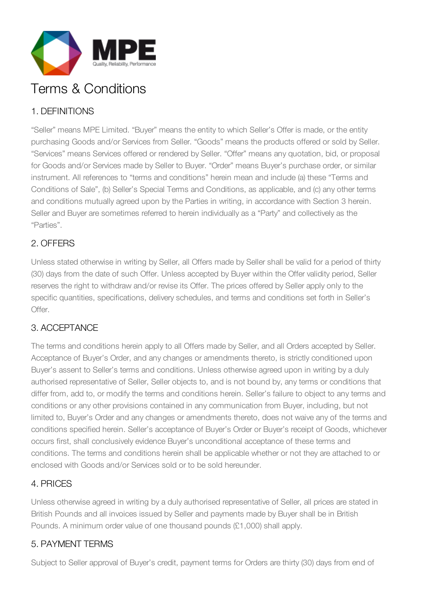

# Terms & Conditions

# 1. DEFINITIONS

"Seller" means MPE Limited. "Buyer" means the entity to which Seller's Offer is made, or the entity purchasing Goods and/or Services from Seller. "Goods" means the products offered or sold by Seller. "Services" means Services offered or rendered by Seller. "Offer" means any quotation, bid, or proposal for Goods and/or Services made by Seller to Buyer. "Order" means Buyer's purchase order, or similar instrument. All references to "terms and conditions" herein mean and include (a) these "Terms and Conditions of Sale", (b) Seller's Special Terms and Conditions, as applicable, and (c) any other terms and conditions mutually agreed upon by the Parties in writing, in accordance with Section 3 herein. Seller and Buyer are sometimes referred to herein individually as a "Party" and collectively as the "Parties".

#### 2. OFFERS

Unless stated otherwise in writing by Seller, all Offers made by Seller shall be valid for a period of thirty (30) days from the date of such Offer. Unless accepted by Buyer within the Offer validity period, Seller reserves the right to withdraw and/or revise its Offer. The prices offered by Seller apply only to the specific quantities, specifications, delivery schedules, and terms and conditions set forth in Seller's Offer.

#### 3. ACCEPTANCE

The terms and conditions herein apply to all Offers made by Seller, and all Orders accepted by Seller. Acceptance of Buyer's Order, and any changes or amendments thereto, is strictly conditioned upon Buyer's assent to Seller's terms and conditions. Unless otherwise agreed upon in writing by a duly authorised representative of Seller, Seller objects to, and is not bound by, any terms or conditions that differ from, add to, or modify the terms and conditions herein. Seller's failure to object to any terms and conditions or any other provisions contained in any communication from Buyer, including, but not limited to, Buyer's Order and any changes or amendments thereto, does not waive any of the terms and conditions specified herein. Seller's acceptance of Buyer's Order or Buyer's receipt of Goods, whichever occurs first, shall conclusively evidence Buyer's unconditional acceptance of these terms and conditions. The terms and conditions herein shall be applicable whether or not they are attached to or enclosed with Goods and/or Services sold or to be sold hereunder.

#### 4. PRICES

Unless otherwise agreed in writing by a duly authorised representative of Seller, all prices are stated in British Pounds and all invoices issued by Seller and payments made by Buyer shall be in British Pounds. A minimum order value of one thousand pounds (£1,000) shall apply.

#### 5. PAYMENT TERMS

Subject to Seller approval of Buyer's credit, payment terms for Orders are thirty (30) days from end of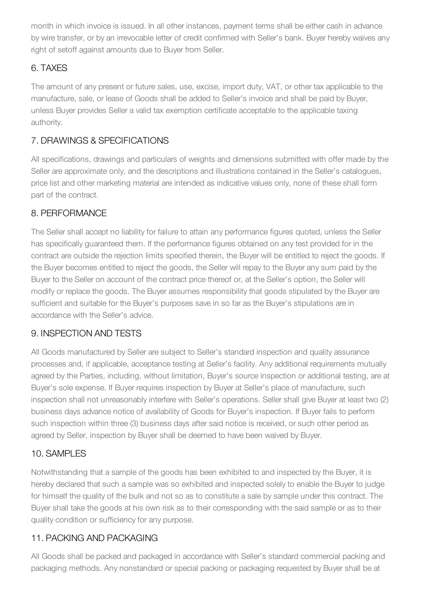month in which invoice is issued. In all other instances, payment terms shall be either cash in advance by wire transfer, or by an irrevocable letter of credit confirmed with Seller's bank. Buyer hereby waives any right of setoff against amounts due to Buyer from Seller.

# 6. TAXES

The amount of any present or future sales, use, excise, import duty, VAT, or other tax applicable to the manufacture, sale, or lease of Goods shall be added to Seller's invoice and shall be paid by Buyer, unless Buyer provides Seller a valid tax exemption certificate acceptable to the applicable taxing authority.

# 7. DRAWINGS & SPECIFICATIONS

All specifications, drawings and particulars of weights and dimensions submitted with offer made by the Seller are approximate only, and the descriptions and illustrations contained in the Seller's catalogues, price list and other marketing material are intended as indicative values only, none of these shall form part of the contract.

#### 8. PERFORMANCE

The Seller shall accept no liability for failure to attain any performance figures quoted, unless the Seller has specifically guaranteed them. If the performance figures obtained on any test provided for in the contract are outside the rejection limits specified therein, the Buyer will be entitled to reject the goods. If the Buyer becomes entitled to reject the goods, the Seller will repay to the Buyer any sum paid by the Buyer to the Seller on account of the contract price thereof or, at the Seller's option, the Seller will modify or replace the goods. The Buyer assumes responsibility that goods stipulated by the Buyer are sufficient and suitable for the Buyer's purposes save in so far as the Buyer's stipulations are in accordance with the Seller's advice.

# 9. INSPECTION AND TESTS

All Goods manufactured by Seller are subject to Seller's standard inspection and quality assurance processes and, if applicable, acceptance testing at Seller's facility. Any additional requirements mutually agreed by the Parties, including, without limitation, Buyer's source inspection or additional testing, are at Buyer's sole expense. If Buyer requires inspection by Buyer at Seller's place of manufacture, such inspection shall not unreasonably interfere with Seller's operations. Seller shall give Buyer at least two (2) business days advance notice of availability of Goods for Buyer's inspection. If Buyer fails to perform such inspection within three (3) business days after said notice is received, or such other period as agreed by Seller, inspection by Buyer shall be deemed to have been waived by Buyer.

#### 10. SAMPLES

Notwithstanding that a sample of the goods has been exhibited to and inspected by the Buyer, it is hereby declared that such a sample was so exhibited and inspected solely to enable the Buyer to judge for himself the quality of the bulk and not so as to constitute a sale by sample under this contract. The Buyer shall take the goods at his own risk as to their corresponding with the said sample or as to their quality condition or sufficiency for any purpose.

#### 11. PACKING AND PACKAGING

All Goods shall be packed and packaged in accordance with Seller's standard commercial packing and packaging methods. Any nonstandard or special packing or packaging requested by Buyer shall be at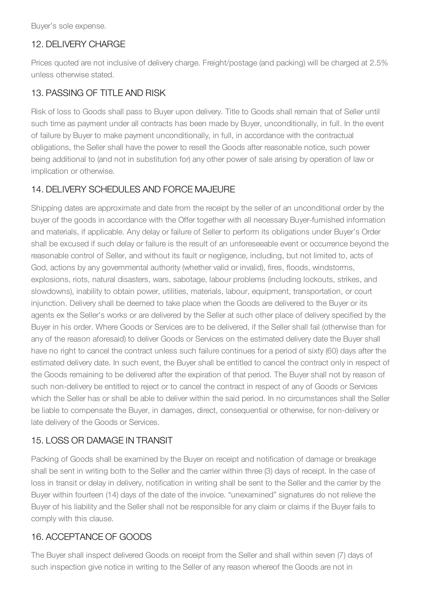Buyer's sole expense.

#### 12. DELIVERY CHARGE

Prices quoted are not inclusive of delivery charge. Freight/postage (and packing) will be charged at 2.5% unless otherwise stated.

#### 13. PASSING OF TITLE AND RISK

Risk of loss to Goods shall pass to Buyer upon delivery. Title to Goods shall remain that of Seller until such time as payment under all contracts has been made by Buyer, unconditionally, in full. In the event of failure by Buyer to make payment unconditionally, in full, in accordance with the contractual obligations, the Seller shall have the power to resell the Goods after reasonable notice, such power being additional to (and not in substitution for) any other power of sale arising by operation of law or implication or otherwise.

#### 14. DELIVERY SCHEDULES AND FORCE MAJEURE

Shipping dates are approximate and date from the receipt by the seller of an unconditional order by the buyer of the goods in accordance with the Offer together with all necessary Buyer-furnished information and materials, if applicable. Any delay or failure of Seller to perform its obligations under Buyer's Order shall be excused if such delay or failure is the result of an unforeseeable event or occurrence beyond the reasonable control of Seller, and without its fault or negligence, including, but not limited to, acts of God, actions by any governmental authority (whether valid or invalid), fires, floods, windstorms, explosions, riots, natural disasters, wars, sabotage, labour problems (including lockouts, strikes, and slowdowns), inability to obtain power, utilities, materials, labour, equipment, transportation, or court injunction. Delivery shall be deemed to take place when the Goods are delivered to the Buyer or its agents ex the Seller's works or are delivered by the Seller at such other place of delivery specified by the Buyer in his order. Where Goods or Services are to be delivered, if the Seller shall fail (otherwise than for any of the reason aforesaid) to deliver Goods or Services on the estimated delivery date the Buyer shall have no right to cancel the contract unless such failure continues for a period of sixty (60) days after the estimated delivery date. In such event, the Buyer shall be entitled to cancel the contract only in respect of the Goods remaining to be delivered after the expiration of that period. The Buyer shall not by reason of such non-delivery be entitled to reject or to cancel the contract in respect of any of Goods or Services which the Seller has or shall be able to deliver within the said period. In no circumstances shall the Seller be liable to compensate the Buyer, in damages, direct, consequential or otherwise, for non-delivery or late delivery of the Goods or Services.

#### 15. LOSS OR DAMAGE IN TRANSIT

Packing of Goods shall be examined by the Buyer on receipt and notification of damage or breakage shall be sent in writing both to the Seller and the carrier within three (3) days of receipt. In the case of loss in transit or delay in delivery, notification in writing shall be sent to the Seller and the carrier by the Buyer within fourteen (14) days of the date of the invoice. "unexamined" signatures do not relieve the Buyer of his liability and the Seller shall not be responsible for any claim or claims if the Buyer fails to comply with this clause.

#### 16. ACCEPTANCE OF GOODS

The Buyer shall inspect delivered Goods on receipt from the Seller and shall within seven (7) days of such inspection give notice in writing to the Seller of any reason whereof the Goods are not in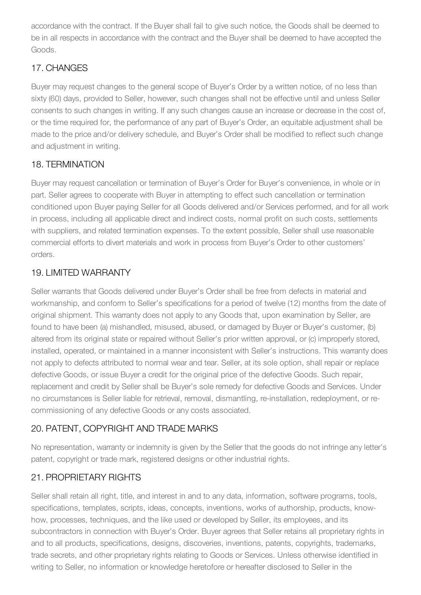accordance with the contract. If the Buyer shall fail to give such notice, the Goods shall be deemed to be in all respects in accordance with the contract and the Buyer shall be deemed to have accepted the Goods.

# 17. CHANGES

Buyer may request changes to the general scope of Buyer's Order by a written notice, of no less than sixty (60) days, provided to Seller, however, such changes shall not be effective until and unless Seller consents to such changes in writing. If any such changes cause an increase or decrease in the cost of, or the time required for, the performance of any part of Buyer's Order, an equitable adjustment shall be made to the price and/or delivery schedule, and Buyer's Order shall be modified to reflect such change and adjustment in writing.

#### 18. TERMINATION

Buyer may request cancellation or termination of Buyer's Order for Buyer's convenience, in whole or in part. Seller agrees to cooperate with Buyer in attempting to effect such cancellation or termination conditioned upon Buyer paying Seller for all Goods delivered and/or Services performed, and for all work in process, including all applicable direct and indirect costs, normal profit on such costs, settlements with suppliers, and related termination expenses. To the extent possible, Seller shall use reasonable commercial efforts to divert materials and work in process from Buyer's Order to other customers' orders.

# 19. LIMITED WARRANTY

Seller warrants that Goods delivered under Buyer's Order shall be free from defects in material and workmanship, and conform to Seller's specifications for a period of twelve (12) months from the date of original shipment. This warranty does not apply to any Goods that, upon examination by Seller, are found to have been (a) mishandled, misused, abused, or damaged by Buyer or Buyer's customer, (b) altered from its original state or repaired without Seller's prior written approval, or (c) improperly stored, installed, operated, or maintained in a manner inconsistent with Seller's instructions. This warranty does not apply to defects attributed to normal wear and tear. Seller, at its sole option, shall repair or replace defective Goods, or issue Buyer a credit for the original price of the defective Goods. Such repair, replacement and credit by Seller shall be Buyer's sole remedy for defective Goods and Services. Under no circumstances is Seller liable for retrieval, removal, dismantling, re-installation, redeployment, or recommissioning of any defective Goods or any costs associated.

# 20. PATENT, COPYRIGHT AND TRADE MARKS

No representation, warranty or indemnity is given by the Seller that the goods do not infringe any letter's patent, copyright or trade mark, registered designs or other industrial rights.

# 21. PROPRIETARY RIGHTS

Seller shall retain all right, title, and interest in and to any data, information, software programs, tools, specifications, templates, scripts, ideas, concepts, inventions, works of authorship, products, knowhow, processes, techniques, and the like used or developed by Seller, its employees, and its subcontractors in connection with Buyer's Order. Buyer agrees that Seller retains all proprietary rights in and to all products, specifications, designs, discoveries, inventions, patents, copyrights, trademarks, trade secrets, and other proprietary rights relating to Goods or Services. Unless otherwise identified in writing to Seller, no information or knowledge heretofore or hereafter disclosed to Seller in the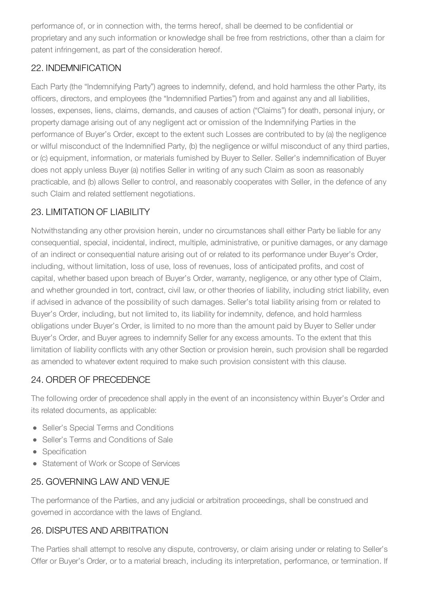performance of, or in connection with, the terms hereof, shall be deemed to be confidential or proprietary and any such information or knowledge shall be free from restrictions, other than a claim for patent infringement, as part of the consideration hereof.

#### 22. INDEMNIFICATION

Each Party (the "Indemnifying Party") agrees to indemnify, defend, and hold harmless the other Party, its officers, directors, and employees (the "Indemnified Parties") from and against any and all liabilities, losses, expenses, liens, claims, demands, and causes of action ("Claims") for death, personal injury, or property damage arising out of any negligent act or omission of the Indemnifying Parties in the performance of Buyer's Order, except to the extent such Losses are contributed to by (a) the negligence or wilful misconduct of the Indemnified Party, (b) the negligence or wilful misconduct of any third parties, or (c) equipment, information, or materials furnished by Buyer to Seller. Seller's indemnification of Buyer does not apply unless Buyer (a) notifies Seller in writing of any such Claim as soon as reasonably practicable, and (b) allows Seller to control, and reasonably cooperates with Seller, in the defence of any such Claim and related settlement negotiations.

# 23. LIMITATION OF LIABILITY

Notwithstanding any other provision herein, under no circumstances shall either Party be liable for any consequential, special, incidental, indirect, multiple, administrative, or punitive damages, or any damage of an indirect or consequential nature arising out of or related to its performance under Buyer's Order, including, without limitation, loss of use, loss of revenues, loss of anticipated profits, and cost of capital, whether based upon breach of Buyer's Order, warranty, negligence, or any other type of Claim, and whether grounded in tort, contract, civil law, or other theories of liability, including strict liability, even if advised in advance of the possibility of such damages. Seller's total liability arising from or related to Buyer's Order, including, but not limited to, its liability for indemnity, defence, and hold harmless obligations under Buyer's Order, is limited to no more than the amount paid by Buyer to Seller under Buyer's Order, and Buyer agrees to indemnify Seller for any excess amounts. To the extent that this limitation of liability conflicts with any other Section or provision herein, such provision shall be regarded as amended to whatever extent required to make such provision consistent with this clause.

# 24. ORDER OF PRECEDENCE

The following order of precedence shall apply in the event of an inconsistency within Buyer's Order and its related documents, as applicable:

- Seller's Special Terms and Conditions
- Seller's Terms and Conditions of Sale
- Specification
- Statement of Work or Scope of Services

# 25. GOVERNING LAW AND VENUE

The performance of the Parties, and any judicial or arbitration proceedings, shall be construed and governed in accordance with the laws of England.

# 26. DISPUTES AND ARBITRATION

The Parties shall attempt to resolve any dispute, controversy, or claim arising under or relating to Seller's Offer or Buyer's Order, or to a material breach, including its interpretation, performance, or termination. If